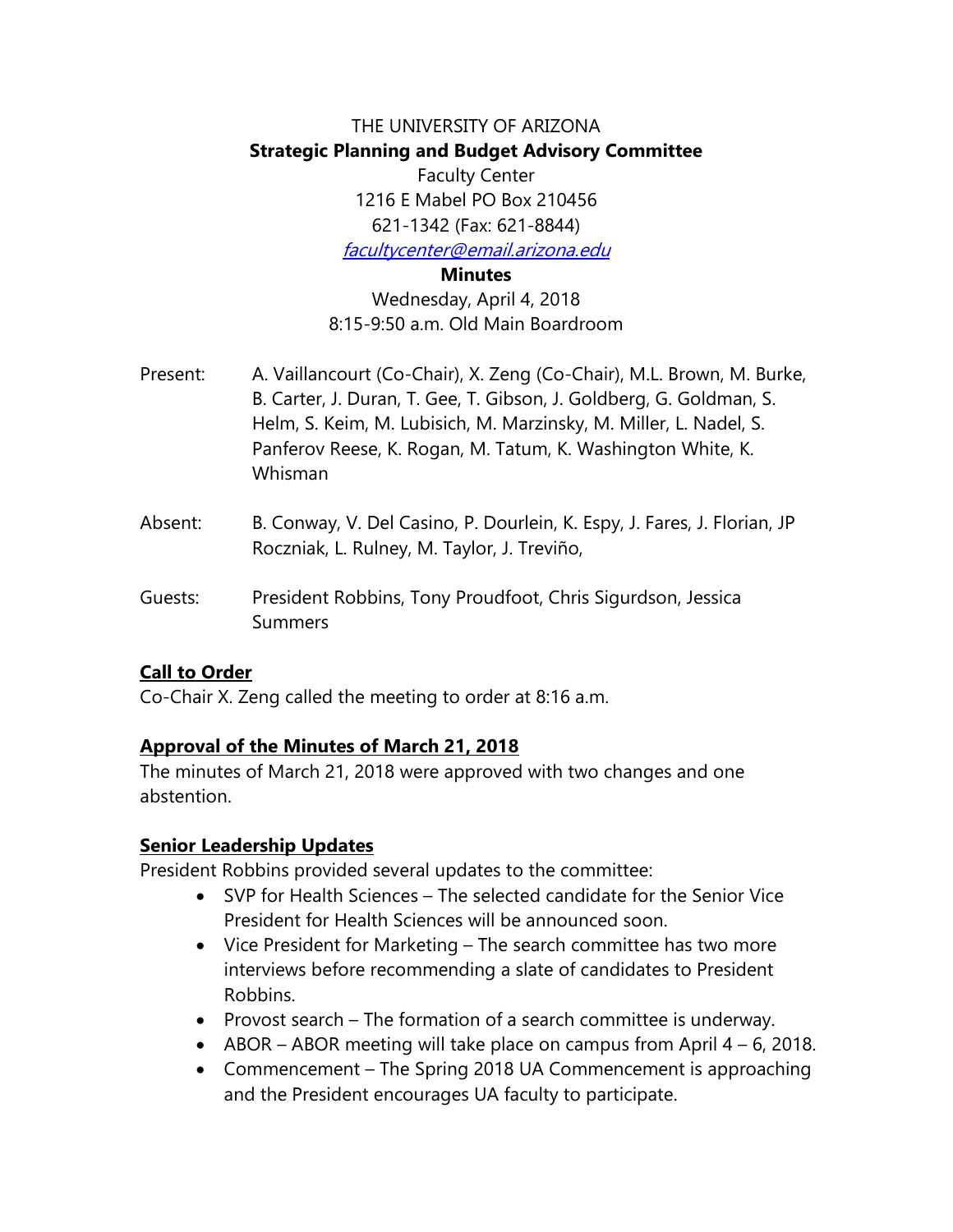# THE UNIVERSITY OF ARIZONA **Strategic Planning and Budget Advisory Committee** Faculty Center

1216 E Mabel PO Box 210456 621-1342 (Fax: 621-8844)

[facultycenter@email.arizona.edu](https://mail.catnet.arizona.edu/owa/redir.aspx?REF=kQfMxmV7w9SJtFPIV8W2e6u_gS3y8tK9hO5SBtRV8QmvzSM7wW7TCAFtYWlsdG86ZmFjdWx0eWNlbnRlckBlbWFpbC5hcml6b25hLmVkdQ..)

**Minutes**

Wednesday, April 4, 2018 8:15-9:50 a.m. Old Main Boardroom

- Present: A. Vaillancourt (Co-Chair), X. Zeng (Co-Chair), M.L. Brown, M. Burke, B. Carter, J. Duran, T. Gee, T. Gibson, J. Goldberg, G. Goldman, S. Helm, S. Keim, M. Lubisich, M. Marzinsky, M. Miller, L. Nadel, S. Panferov Reese, K. Rogan, M. Tatum, K. Washington White, K. Whisman
- Absent: B. Conway, V. Del Casino, P. Dourlein, K. Espy, J. Fares, J. Florian, JP Roczniak, L. Rulney, M. Taylor, J. Treviño,
- Guests: President Robbins, Tony Proudfoot, Chris Sigurdson, Jessica Summers

## **Call to Order**

Co-Chair X. Zeng called the meeting to order at 8:16 a.m.

### **Approval of the Minutes of March 21, 2018**

The minutes of March 21, 2018 were approved with two changes and one abstention.

### **Senior Leadership Updates**

President Robbins provided several updates to the committee:

- SVP for Health Sciences The selected candidate for the Senior Vice President for Health Sciences will be announced soon.
- Vice President for Marketing The search committee has two more interviews before recommending a slate of candidates to President Robbins.
- Provost search The formation of a search committee is underway.
- ABOR ABOR meeting will take place on campus from April  $4 6$ , 2018.
- Commencement The Spring 2018 UA Commencement is approaching and the President encourages UA faculty to participate.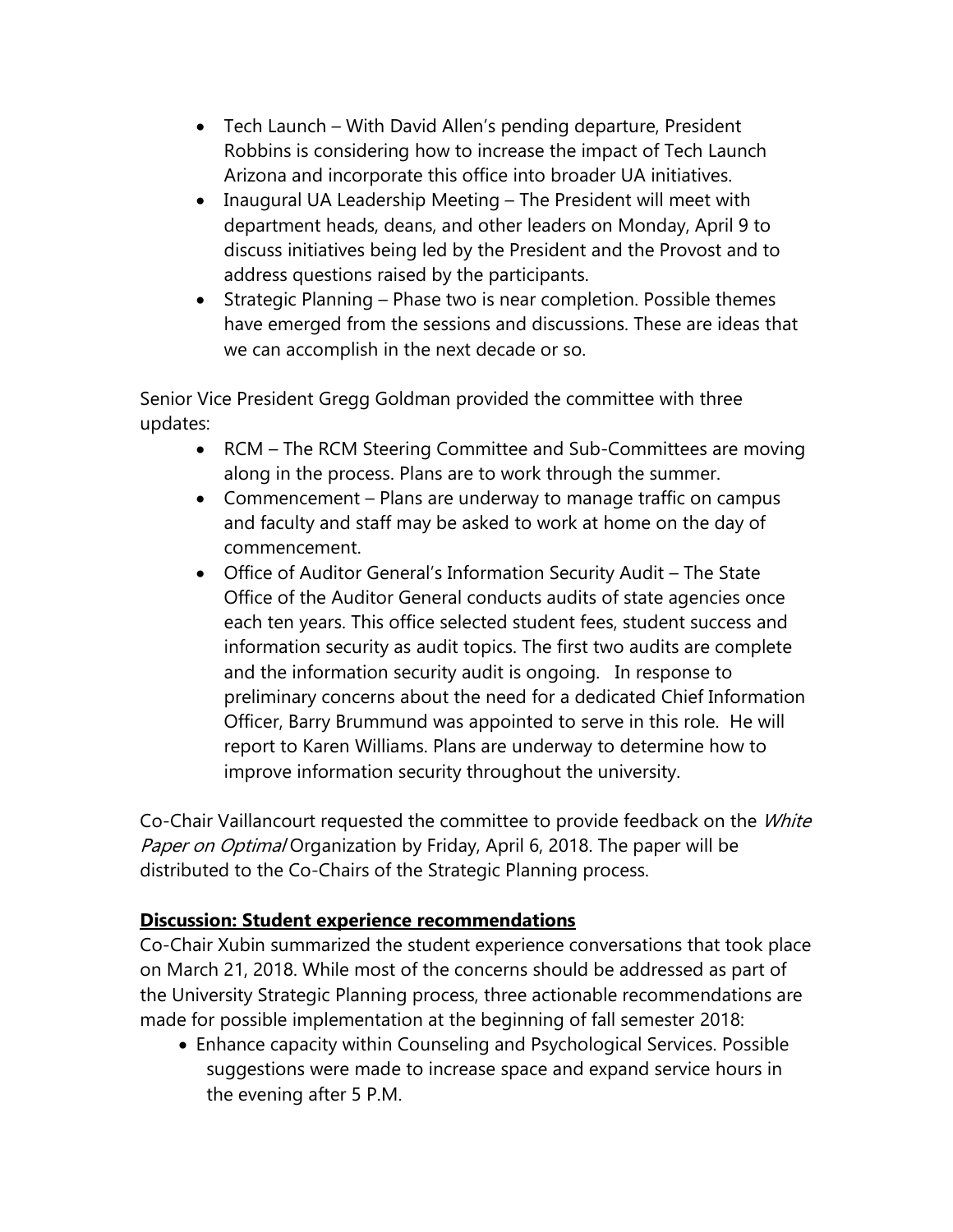- Tech Launch With David Allen's pending departure, President Robbins is considering how to increase the impact of Tech Launch Arizona and incorporate this office into broader UA initiatives.
- Inaugural UA Leadership Meeting The President will meet with department heads, deans, and other leaders on Monday, April 9 to discuss initiatives being led by the President and the Provost and to address questions raised by the participants.
- Strategic Planning Phase two is near completion. Possible themes have emerged from the sessions and discussions. These are ideas that we can accomplish in the next decade or so.

Senior Vice President Gregg Goldman provided the committee with three updates:

- RCM The RCM Steering Committee and Sub-Committees are moving along in the process. Plans are to work through the summer.
- Commencement Plans are underway to manage traffic on campus and faculty and staff may be asked to work at home on the day of commencement.
- Office of Auditor General's Information Security Audit The State Office of the Auditor General conducts audits of state agencies once each ten years. This office selected student fees, student success and information security as audit topics. The first two audits are complete and the information security audit is ongoing. In response to preliminary concerns about the need for a dedicated Chief Information Officer, Barry Brummund was appointed to serve in this role. He will report to Karen Williams. Plans are underway to determine how to improve information security throughout the university.

Co-Chair Vaillancourt requested the committee to provide feedback on the *White* Paper on Optimal Organization by Friday, April 6, 2018. The paper will be distributed to the Co-Chairs of the Strategic Planning process.

## **Discussion: Student experience recommendations**

Co-Chair Xubin summarized the student experience conversations that took place on March 21, 2018. While most of the concerns should be addressed as part of the University Strategic Planning process, three actionable recommendations are made for possible implementation at the beginning of fall semester 2018:

• Enhance capacity within Counseling and Psychological Services. Possible suggestions were made to increase space and expand service hours in the evening after 5 P.M.